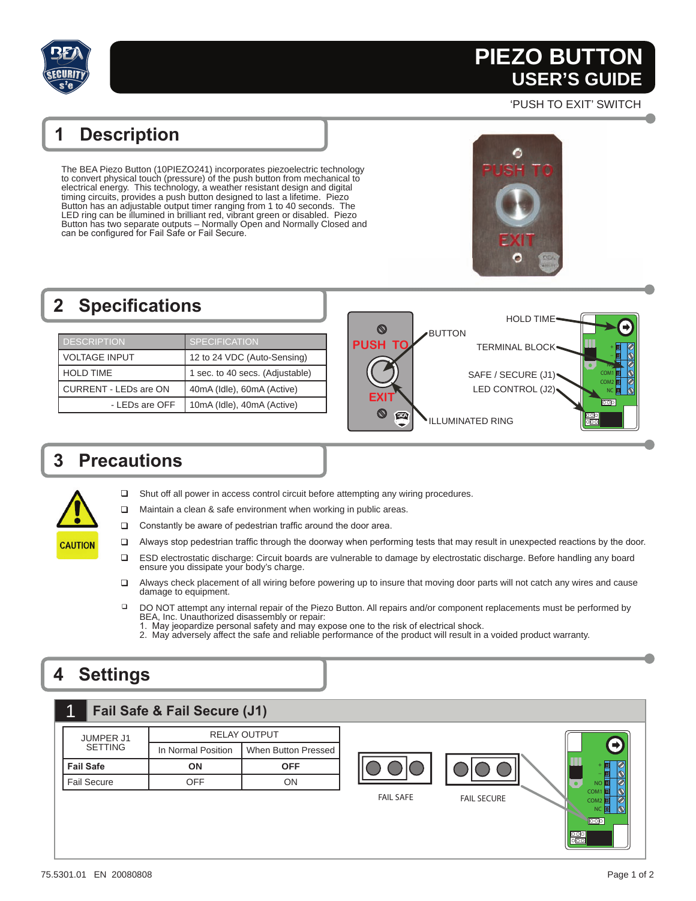

# **PIEZO BUTTON PIEZO BUTTON USER'S GUIDE USER'S GUIDE**

'PUSH TO EXIT' SWITCH

### **1 Description**

The BEA Piezo Button (10PIEZO241) incorporates piezoelectric technology to convert physical touch (pressure) of the push button from mechanical to electrical energy. This technology, a weather resistant design and digital timing circuits, provides a push button designed to last a lifetime. Piezo Button has an adjustable output timer ranging from 1 to 40 seconds. The LED ring can be illumined in brilliant red, vibrant green or disabled. Piezo Button has two separate outputs – Normally Open and Normally Closed and can be configured for Fail Safe or Fail Secure.

#### **2** Specifications HOLD TIME  $\circledcirc$ BUTTON DESCRIPTION SPECIFICATION **PUSH** TERMINAL BLOCK + VOLTAGE INPUT 12 to 24 VDC (Auto-Sensing) NO HOLD TIME 1 sec. to 40 secs. (Adjustable) SAFE / SECURE (J1) COM1 COM2 CURRENT - LEDs are ON 40mA (Idle), 60mA (Active) LED CONTROL (J2) NC **EXIT**  $\overline{000}$ - LEDs are OFF | 10mA (Idle), 40mA (Active)  $\circledcirc$ Ø  $\frac{\overline{500}}{\overline{500}}$ ILLUMINATED RING

### **3 Precautions**



- □ Shut off all power in access control circuit before attempting any wiring procedures.
- $\Box$  Maintain a clean & safe environment when working in public areas.
- $\Box$  Constantly be aware of pedestrian traffic around the door area.
- $\Box$  Always stop pedestrian traffic through the doorway when performing tests that may result in unexpected reactions by the door.
- ESD electrostatic discharge: Circuit boards are vulnerable to damage by electrostatic discharge. Before handling any board ensure you dissipate your body's charge.
- Always check placement of all wiring before powering up to insure that moving door parts will not catch any wires and cause damage to equipment.
- DO NOT attempt any internal repair of the Piezo Button. All repairs and/or component replacements must be performed by BEA, Inc. Unauthorized disassembly or repair:
	- 1. May jeopardize personal safety and may expose one to the risk of electrical shock.
	- 2. May adversely affect the safe and reliable performance of the product will result in a voided product warranty.

## **4 Settings**

| $\mathbf 1$<br>Fail Safe & Fail Secure (J1) |  |
|---------------------------------------------|--|
|---------------------------------------------|--|

| <b>JUMPER J1</b>   | RELAY OUTPUT       |                            |
|--------------------|--------------------|----------------------------|
| <b>SETTING</b>     | In Normal Position | <b>When Button Pressed</b> |
| <b>Fail Safe</b>   | ΩN                 | OFF                        |
| <b>Fail Secure</b> | NFF                | וחר                        |



 $\boxed{00}$ 

 $\frac{\overline{000}}{\overline{000}}$